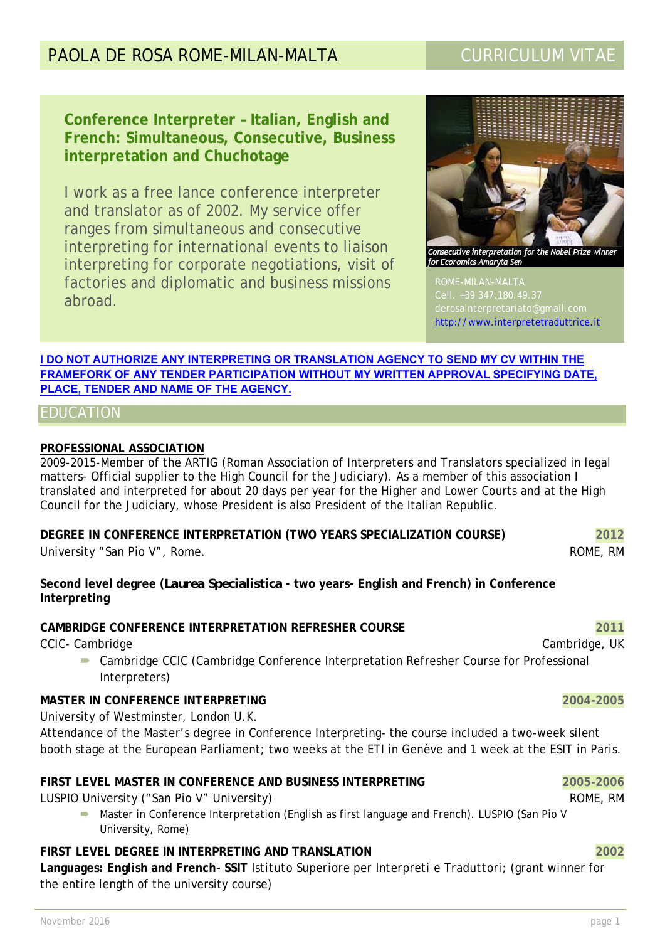# PAOLA DE ROSA ROME-MILAN-MALTA CURRICULUM VITAE

**Conference Interpreter – Italian, English and French: Simultaneous, Consecutive, Business interpretation and Chuchotage** 

I work as a free lance conference interpreter and translator as of 2002. My service offer ranges from simultaneous and consecutive interpreting for international events to liaison interpreting for corporate negotiations, visit of factories and diplomatic and business missions abroad.



Consecutive interpretation for the Nobel Prize winne for Economics Amaryta Sen

ROME-MILAN-MALTA http://www.interpretetraduttrice.it

 $\overline{\phantom{a}}$ 

### **I DO NOT AUTHORIZE ANY INTERPRETING OR TRANSLATION AGENCY TO SEND MY CV WITHIN THE FRAMEFORK OF ANY TENDER PARTICIPATION WITHOUT MY WRITTEN APPROVAL SPECIFYING DATE, PLACE, TENDER AND NAME OF THE AGENCY.**

# EDUCATION

## **PROFESSIONAL ASSOCIATION**

2009-2015-Member of the ARTIG (Roman Association of Interpreters and Translators specialized in legal matters- Official supplier to the High Council for the Judiciary). As a member of this association I translated and interpreted for about 20 days per year for the Higher and Lower Courts and at the High Council for the Judiciary, whose President is also President of the Italian Republic.

**DEGREE IN CONFERENCE INTERPRETATION (TWO YEARS SPECIALIZATION COURSE) 2012**  University "San Pio V", Rome. And The Contract of the Contract of the ROME, RM

**Second level degree (***Laurea Specialistica* **- two years- English and French) in Conference Interpreting** 

### **CAMBRIDGE CONFERENCE INTERPRETATION REFRESHER COURSE 2011**

CCIC- Cambridge CCIC- Cambridge, UK

 Cambridge CCIC (Cambridge Conference Interpretation Refresher Course for Professional Interpreters)

### **MASTER IN CONFERENCE INTERPRETING 2004-2005**

University of Westminster, London U.K.

Attendance of the Master's degree in Conference Interpreting- the course included a two-week silent booth *stage* at the European Parliament; two weeks at the ETI in Genève and 1 week at the ESIT in Paris.

# **FIRST LEVEL MASTER IN CONFERENCE AND BUSINESS INTERPRETING 2005-2006**

LUSPIO University ("San Pio V" University) And the Control of Control of the Control of Control of Control of Control of Control of Control of Control of Control of Control of Control of Control of Control of Control of Co

**•** Master in Conference Interpretation (English as first language and French). LUSPIO (San Pio V University, Rome)

# **FIRST LEVEL DEGREE IN INTERPRETING AND TRANSLATION 2002**

**Languages: English and French- SSIT** *Istituto Superiore per Interpreti e Traduttori;* (grant winner for the entire length of the university course)

November 2016 **page 1 page 1**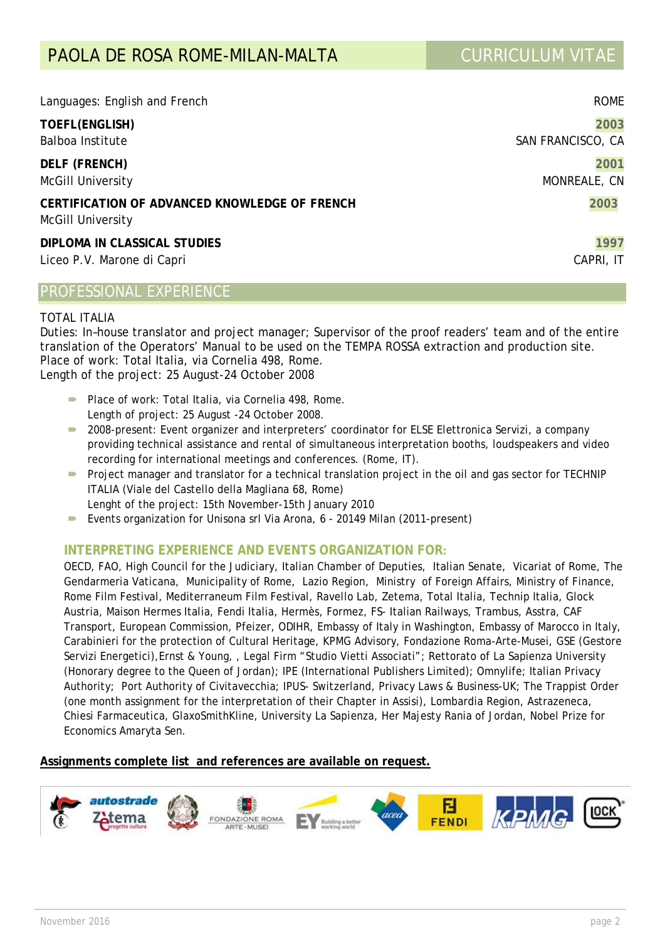| Languages: English and French                                             | <b>ROME</b>       |
|---------------------------------------------------------------------------|-------------------|
| TOEFL(ENGLISH)                                                            | 2003              |
| Balboa Institute                                                          | SAN FRANCISCO, CA |
| <b>DELF (FRENCH)</b>                                                      | 2001              |
| <b>McGill University</b>                                                  | MONREALE, CN      |
| CERTIFICATION OF ADVANCED KNOWLEDGE OF FRENCH<br><b>McGill University</b> | 2003              |
| DIPLOMA IN CLASSICAL STUDIES                                              | 1997              |
| Liceo P.V. Marone di Capri                                                | CAPRI, IT         |

# PROFESSIONAL EXPERIENCE

### TOTAL ITALIA

Duties: In–house translator and project manager; Supervisor of the proof readers' team and of the entire translation of the Operators' Manual to be used on the TEMPA ROSSA extraction and production site. Place of work: Total Italia, via Cornelia 498, Rome. Length of the project: 25 August-24 October 2008

- Place of work: Total Italia, via Cornelia 498, Rome. Length of project: 25 August -24 October 2008.
- 2008-present: Event organizer and interpreters' coordinator for ELSE Elettronica Servizi, a company providing technical assistance and rental of simultaneous interpretation booths, loudspeakers and video recording for international meetings and conferences. (Rome, IT).
- Project manager and translator for a technical translation project in the oil and gas sector for TECHNIP ITALIA (Viale del Castello della Magliana 68, Rome) Lenght of the project: 15th November-15th January 2010
- Events organization for Unisona srl Via Arona, 6 20149 Milan (2011-present)

### **INTERPRETING EXPERIENCE AND EVENTS ORGANIZATION FOR:**

OECD, FAO, High Council for the Judiciary, Italian Chamber of Deputies, Italian Senate, Vicariat of Rome, The Gendarmeria Vaticana, Municipality of Rome, Lazio Region, Ministry of Foreign Affairs, Ministry of Finance, Rome Film Festival, Mediterraneum Film Festival, Ravello Lab, Zetema, Total Italia, Technip Italia, Glock Austria, Maison Hermes Italia, Fendi Italia, Hermès, Formez, FS- Italian Railways, Trambus, Asstra, CAF Transport, European Commission, Pfeizer, ODIHR, Embassy of Italy in Washington, Embassy of Marocco in Italy, Carabinieri for the protection of Cultural Heritage, KPMG Advisory, Fondazione Roma-Arte-Musei, GSE (Gestore Servizi Energetici),Ernst & Young, , Legal Firm "Studio Vietti Associati"; Rettorato of La Sapienza University (Honorary degree to the Queen of Jordan); IPE (International Publishers Limited); Omnylife; Italian Privacy Authority; Port Authority of Civitavecchia; IPUS- Switzerland, Privacy Laws & Business-UK; The Trappist Order (one month assignment for the interpretation of their Chapter in Assisi), Lombardia Region, Astrazeneca, Chiesi Farmaceutica, GlaxoSmithKline, University *La Sapienza*, Her Majesty Rania of Jordan, Nobel Prize for Economics Amaryta Sen.

### **Assignments complete list and references are available on request.**

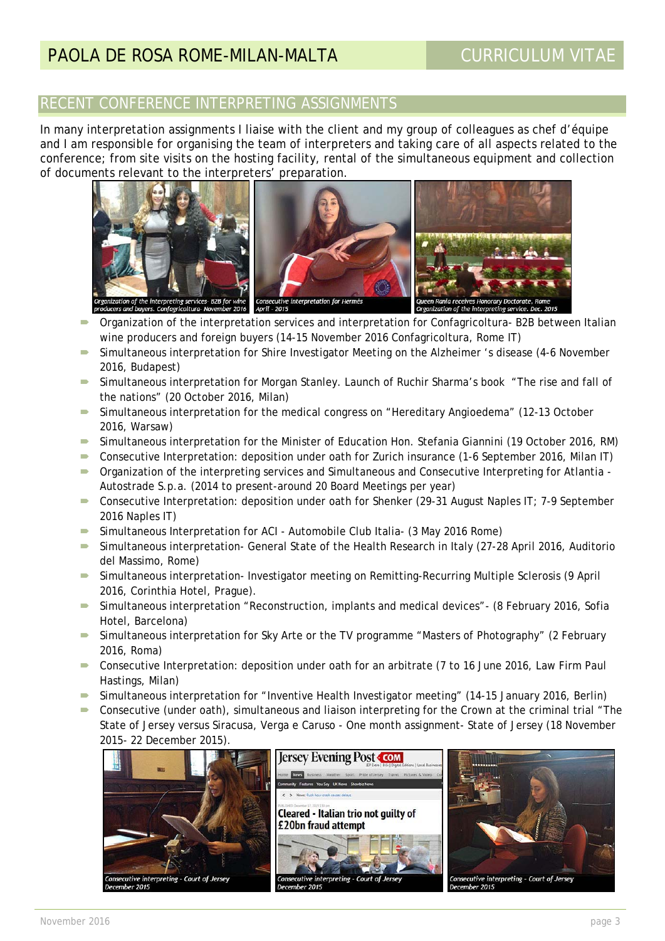# RECENT CONFERENCE INTERPRETING ASSIGNMENTS

In many interpretation assignments I liaise with the client and my group of colleagues as chef d'équipe and I am responsible for organising the team of interpreters and taking care of all aspects related to the conference; from site visits on the hosting facility, rental of the simultaneous equipment and collection of documents relevant to the interpreters' preparation.



- Organization of the interpretation services and interpretation for Confagricoltura- B2B between Italian wine producers and foreign buyers (14-15 November 2016 Confagricoltura, Rome IT)
- Simultaneous interpretation for Shire Investigator Meeting on the Alzheimer 's disease (4-6 November 2016, Budapest)
- Simultaneous interpretation for Morgan Stanley. Launch of Ruchir Sharma's book "The rise and fall of the nations" (20 October 2016, Milan)
- Simultaneous interpretation for the medical congress on "Hereditary Angioedema" (12-13 October 2016, Warsaw)
- Simultaneous interpretation for the Minister of Education Hon. Stefania Giannini (19 October 2016, RM)
- Consecutive Interpretation: deposition under oath for Zurich insurance (1-6 September 2016, Milan IT)
- Organization of the interpreting services and Simultaneous and Consecutive Interpreting for Atlantia Autostrade S.p.a. (2014 to present-around 20 Board Meetings per year)
- Consecutive Interpretation: deposition under oath for Shenker (29-31 August Naples IT; 7-9 September 2016 Naples IT)
- Simultaneous Interpretation for ACI Automobile Club Italia- (3 May 2016 Rome)
- Simultaneous interpretation- General State of the Health Research in Italy (27-28 April 2016, Auditorio del Massimo, Rome)
- Simultaneous interpretation- Investigator meeting on Remitting-Recurring Multiple Sclerosis (9 April 2016, Corinthia Hotel, Prague).
- Simultaneous interpretation "Reconstruction, implants and medical devices"- (8 February 2016, Sofia Hotel, Barcelona)
- Simultaneous interpretation for Sky Arte or the TV programme "Masters of Photography" (2 February 2016, Roma)
- Consecutive Interpretation: deposition under oath for an arbitrate (7 to 16 June 2016, Law Firm Paul Hastings, Milan)
- Simultaneous interpretation for "Inventive Health Investigator meeting" (14-15 January 2016, Berlin)
- Consecutive (under oath), simultaneous and liaison interpreting for the Crown at the criminal trial "The State of Jersey versus Siracusa, Verga e Caruso - One month assignment- State of Jersey (18 November 2015- 22 December 2015).

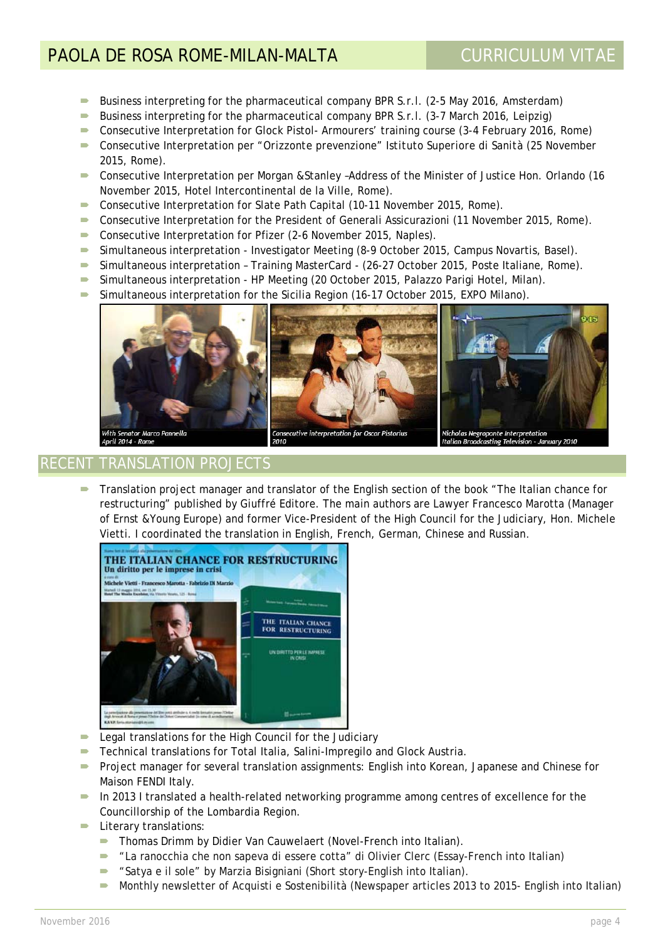# PAOLA DE ROSA ROME-MILAN-MALTA CURRICULUM VITAE

- **Business interpreting for the pharmaceutical company BPR S.r.l. (2-5 May 2016, Amsterdam)**
- Business interpreting for the pharmaceutical company BPR S.r.l. (3-7 March 2016, Leipzig)
- Consecutive Interpretation for Glock Pistol-Armourers' training course (3-4 February 2016, Rome)
- Consecutive Interpretation per "*Orizzonte prevenzione" Istituto Superiore di Sanità* (25 November 2015, Rome).
- Consecutive Interpretation per Morgan &Stanley –Address of the Minister of Justice Hon. Orlando (16 November 2015, Hotel Intercontinental de la Ville, Rome).
- Consecutive Interpretation for Slate Path Capital (10-11 November 2015, Rome).
- Consecutive Interpretation for the President of Generali Assicurazioni (11 November 2015, Rome).
- Consecutive Interpretation for Pfizer (2-6 November 2015, Naples).
- Simultaneous interpretation Investigator Meeting (8-9 October 2015, Campus Novartis, Basel).
- Simultaneous interpretation Training MasterCard (26-27 October 2015, Poste Italiane, Rome).
- Simultaneous interpretation HP Meeting (20 October 2015, Palazzo Parigi Hotel, Milan).
- Simultaneous interpretation for the Sicilia Region (16-17 October 2015, EXPO Milano).



# RECENT TRANSLATION PROJECTS

 Translation project manager and translator of the English section of the book "The Italian chance for restructuring" published by Giuffré Editore. The main authors are Lawyer Francesco Marotta (Manager of Ernst &Young Europe) and former Vice-President of the High Council for the Judiciary, Hon. Michele Vietti. I coordinated the translation in English, French, German, Chinese and Russian.



- **Example 2** Legal translations for the High Council for the Judiciary
- Technical translations for Total Italia, Salini-Impregilo and Glock Austria.
- **Project manager for several translation assignments: English into Korean, Japanese and Chinese for** Maison FENDI Italy.
- $\blacksquare$  In 2013 I translated a health-related networking programme among centres of excellence for the Councillorship of the Lombardia Region.
- Literary translations:
	- **Thomas Drimm by Didier Van Cauwelaert (Novel-French into Italian).**
	- "La ranocchia che non sapeva di essere cotta" di Olivier Clerc (Essay-French into Italian)
	- "Satya e il sole" by Marzia Bisigniani (Short story-English into Italian).
	- **Monthly newsletter of Acquisti e Sostenibilità (Newspaper articles 2013 to 2015- English into Italian)**